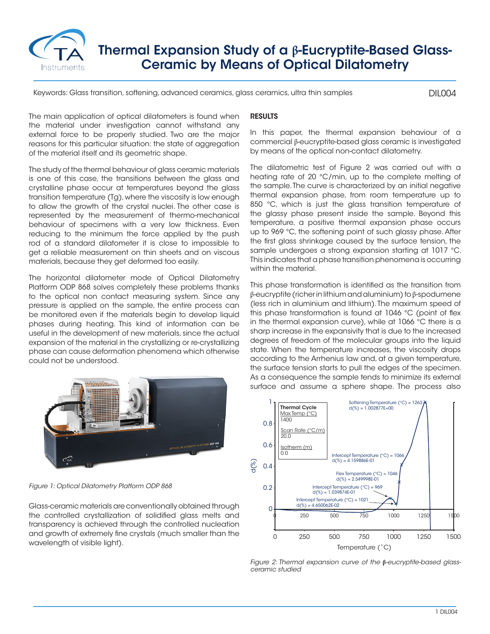

## Thermal Expansion Study of a **β**-Eucryptite-Based Glass-Ceramic by Means of Optical Dilatometry

Keywords: Glass transition, softening, advanced ceramics, glass ceramics, ultra thin samples

DIL004

The main application of optical dilatometers is found when the material under investigation cannot withstand any external force to be properly studied. Two are the major reasons for this particular situation: the state of aggregation of the material itself and its geometric shape.

The study of the thermal behaviour of glass ceramic materials is one of this case, the transitions between the glass and crystalline phase occur at temperatures beyond the glass transition temperature (Tg), where the viscosity is low enough to allow the growth of the crystal nuclei. The other case is represented by the measurement of thermo-mechanical behaviour of specimens with a very low thickness. Even reducing to the minimum the force applied by the push rod of a standard dilatometer it is close to impossible to get a reliable measurement on thin sheets and on viscous materials, because they get deformed too easily.

The horizontal dilatometer mode of Optical Dilatometry Platform ODP 868 solves completely these problems thanks to the optical non contact measuring system. Since any pressure is applied on the sample, the entire process can be monitored even if the materials begin to develop liquid phases during heating. This kind of information can be useful in the development of new materials, since the actual expansion of the material in the crystallizing or re-crystallizing phase can cause deformation phenomena which otherwise could not be understood.



*Figure 1: Optical Dilatometry Platform ODP 868*

Glass-ceramic materials are conventionally obtained through the controlled crystallization of solidified glass melts and transparency is achieved through the controlled nucleation and growth of extremely fine crystals (much smaller than the wavelength of visible light).

## RESULTS

In this paper, the thermal expansion behaviour of a commercial β-eucryptite-based glass ceramic is investigated by means of the optical non-contact dilatometry.

The dilatometric test of Figure 2 was carried out with a heating rate of 20 °C/min, up to the complete melting of the sample. The curve is characterized by an initial negative thermal expansion phase, from room temperature up to 850 °C, which is just the glass transition temperature of the glassy phase present inside the sample. Beyond this temperature, a positive thermal expansion phase occurs up to 969 °C, the softening point of such glassy phase. After the first glass shrinkage caused by the surface tension, the sample undergoes a strong expansion starting at 1017 °C. This indicates that a phase transition phenomena is occurring within the material.

This phase transformation is identified as the transition from β-eucryptite (richer in lithium and aluminium) to β-spodumene (less rich in aluminium and lithium). The maximum speed of this phase transformation is found at 1046 °C (point of flex in the thermal expansion curve), while at 1066 °C there is a sharp increase in the expansivity that is due to the increased degrees of freedom of the molecular groups into the liquid state. When the temperature increases, the viscosity drops according to the Arrhenius law and, at a given temperature, the surface tension starts to pull the edges of the specimen. As a consequence the sample tends to minimize its external surface and assume a sphere shape. The process also



*Figure 2: Thermal expansion curve of the* **β***-eucryptite-based glassceramic studied*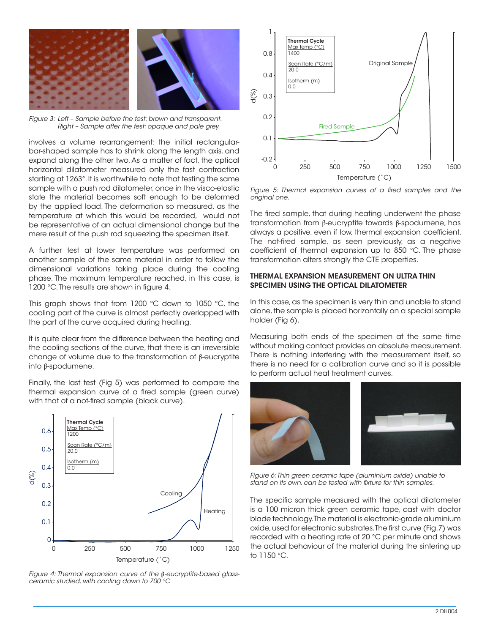

*Figure 3: Left – Sample before the test: brown and transparent. Right – Sample after the test: opaque and pale grey.*

involves a volume rearrangement: the initial rectangularbar-shaped sample has to shrink along the length axis, and expand along the other two. As a matter of fact, the optical horizontal dilatometer measured only the fast contraction starting at 1263°. It is worthwhile to note that testing the same sample with a push rod dilatometer, once in the visco-elastic state the material becomes soft enough to be deformed by the applied load. The deformation so measured, as the temperature at which this would be recorded, would not be representative of an actual dimensional change but the mere result of the push rod squeezing the specimen itself.

A further test at lower temperature was performed on another sample of the same material in order to follow the dimensional variations taking place during the cooling phase. The maximum temperature reached, in this case, is 1200 °C. The results are shown in figure 4.

This graph shows that from 1200 °C down to 1050 °C, the cooling part of the curve is almost perfectly overlapped with the part of the curve acquired during heating.

It is quite clear from the difference between the heating and the cooling sections of the curve, that there is an irreversible change of volume due to the transformation of β-eucryptite into β-spodumene.

Finally, the last test (Fig 5) was performed to compare the thermal expansion curve of a fired sample (green curve) with that of a not-fired sample (black curve).



*Figure 4: Thermal expansion curve of the* **β***-eucryptite-based glassceramic studied, with cooling down to 700 °C*



*Figure 5: Thermal expansion curves of a fired samples and the original one.*

The fired sample, that during heating underwent the phase transformation from β-eucryptite towards β-spodumene, has always a positive, even if low, thermal expansion coefficient. The not-fired sample, as seen previously, as a negative coefficient of thermal expansion up to 850 °C. The phase transformation alters strongly the CTE properties.

## THERMAL EXPANSION MEASUREMENT ON ULTRA THIN SPECIMEN USING THE OPTICAL DILATOMETER

In this case, as the specimen is very thin and unable to stand alone, the sample is placed horizontally on a special sample holder (Fig 6).

Measuring both ends of the specimen at the same time without making contact provides an absolute measurement. There is nothing interfering with the measurement itself, so there is no need for a calibration curve and so it is possible to perform actual heat treatment curves.



*Figure 6: Thin green ceramic tape (aluminium oxide) unable to stand on its own, can be tested with fixture for thin samples.*

The specific sample measured with the optical dilatometer is a 100 micron thick green ceramic tape, cast with doctor blade technology. The material is electronic-grade aluminium oxide, used for electronic substrates. The first curve (Fig.7) was recorded with a heating rate of 20 °C per minute and shows the actual behaviour of the material during the sintering up to 1150 °C.